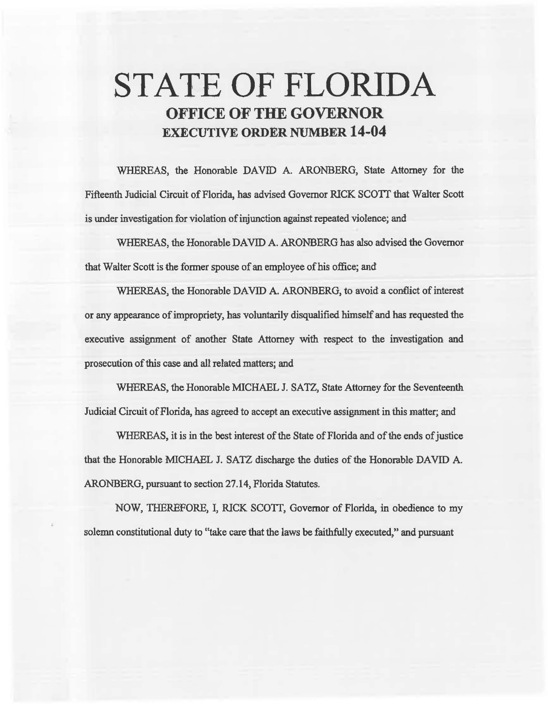# STATE OF FLORIDA OFFICE OF THE GOVERNOR EXECUTIVE ORDER NUMBER 14-04

WHEREAS, the Honorable DAVID A. ARONBERG, State Attorney for the Fifteenth Judicial Circuit of Florida, has advised Governor RICK *SCOTT* that Walter Scott is under investigation for violation of injunction against repeated violence; and

WHEREAS, the Honorable DAVID A. ARONBERG has also advised the Governor that Walter Scott is the former spouse of an employee of his office; and

WHEREAS, the Honorable DAVID A. ARONBERG, to avoid a conflict of interest or any appearance of impropriety, has voluntarily disqualified himself and has requested the executive assignment of another State Attorney with respect to the investigation and prosecution of this case and aU related matters; and

WHEREAS, the Honorable MICHAEL J. SATZ, State Attorney for the Seventeenth Judicial Circuit of Florida, has agreed to accept an executive assignment in this matter; and

WHEREAS, it is in the best interest of the State of Florida and of the ends of justice that the Honorable MICHAEL J. SATZ discharge the duties of the Honorable DAVID A. ARONBERG, pursuant to section 27 .14, Florida Statutes.

NOW, THEREFORE, I, RlCK SCOTT, Governor of Florida, in obedience to my solemn constitutional duty to "take care that the laws be faithfully executed," and pursuant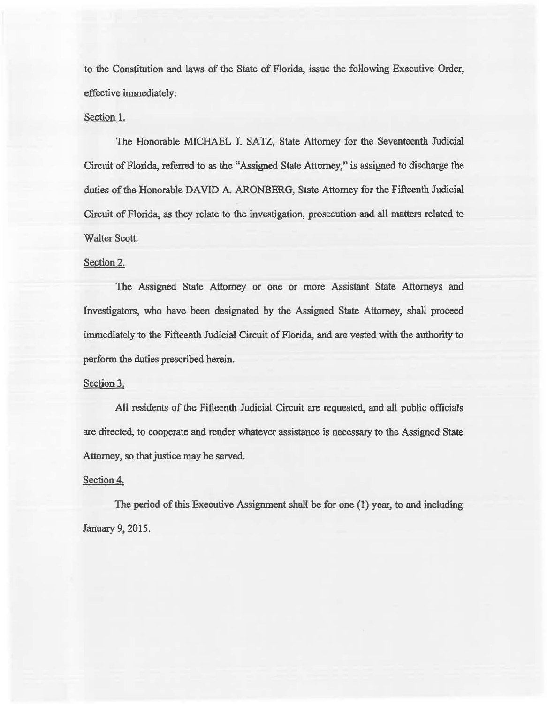to the Constitution and laws of the State of Florida, issue the following Executive Order, effective immediately:

### Section 1.

The Honorable MICHAEL J. SATZ, State Attorney for the Seventeenth Judicial Circuit of Florida, referred to as the "Assigned State Attorney," is assigned to discharge the duties of the Honorable DAVID A. ARONBERG, State Attorney for the Fifteenth Judicial Circuit of Florida, as they relate to the investigation, prosecution and all matters related to Walter Scott.

## Section 2.

The Assigned State Attorney or one or more Assistant State Attorneys and Investigators, who have been designated by the Assigned State Attorney, shall proceed immediately to the Fifteenth Judicial Circuit of Florida, and are vested with the authority to perform the duties prescribed herein.

## Section 3.

All residents of the Fifteenth Judicial Circuit are requested, and all public officials are directed, to cooperate and render whatever assistance is necessary to the Assigned State Attorney, so that justice may be served.

#### Section 4.

The period of this Executive Assignment shall be for one (1) year, to and including January 9, 2015.